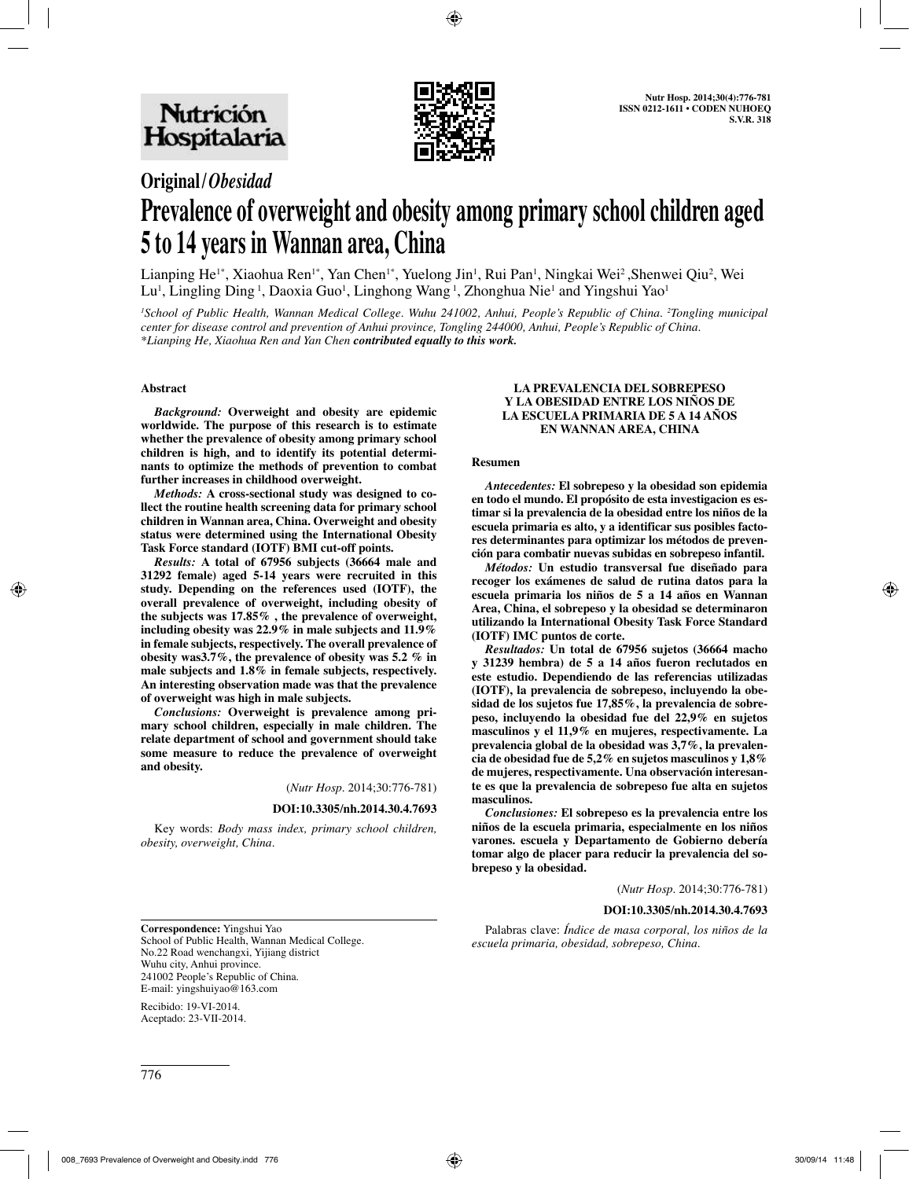

# **Original/***Obesidad*

# **Prevalence of overweight and obesity among primary school children aged 5 to 14 years in Wannan area, China**

Lianping He<sup>1\*</sup>, Xiaohua Ren<sup>1\*</sup>, Yan Chen<sup>1\*</sup>, Yuelong Jin<sup>1</sup>, Rui Pan<sup>1</sup>, Ningkai Wei<sup>2</sup>, Shenwei Qiu<sup>2</sup>, Wei Lu<sup>i</sup>, Lingling Ding<sup>1</sup>, Daoxia Guo<sup>i</sup>, Linghong Wang<sup>1</sup>, Zhonghua Nie<sup>1</sup> and Yingshui Yao<sup>i</sup>

*1 School of Public Health, Wannan Medical College. Wuhu 241002, Anhui, People's Republic of China. 2 Tongling municipal center for disease control and prevention of Anhui province, Tongling 244000, Anhui, People's Republic of China. \*Lianping He, Xiaohua Ren and Yan Chen contributed equally to this work.*

#### **Abstract**

*Background:* **Overweight and obesity are epidemic worldwide. The purpose of this research is to estimate whether the prevalence of obesity among primary school children is high, and to identify its potential determinants to optimize the methods of prevention to combat further increases in childhood overweight.**

*Methods:* **A cross-sectional study was designed to collect the routine health screening data for primary school children in Wannan area, China. Overweight and obesity status were determined using the International Obesity Task Force standard (IOTF) BMI cut-off points.** 

*Results:* **A total of 67956 subjects (36664 male and 31292 female) aged 5-14 years were recruited in this study. Depending on the references used (IOTF), the overall prevalence of overweight, including obesity of the subjects was 17.85% , the prevalence of overweight, including obesity was 22.9% in male subjects and 11.9% in female subjects, respectively. The overall prevalence of obesity was3.7%, the prevalence of obesity was 5.2 % in male subjects and 1.8% in female subjects, respectively. An interesting observation made was that the prevalence of overweight was high in male subjects.**

*Conclusions:* **Overweight is prevalence among primary school children, especially in male children. The relate department of school and government should take some measure to reduce the prevalence of overweight and obesity.**

(*Nutr Hosp.* 2014;30:776-781)

#### **DOI:10.3305/nh.2014.30.4.7693**

Key words: *Body mass index, primary school children, obesity, overweight, China.*

#### **LA PREVALENCIA DEL SOBREPESO Y LA OBESIDAD ENTRE LOS NIÑOS DE LA ESCUELA PRIMARIA DE 5 A 14 AÑOS EN WANNAN AREA, CHINA**

#### **Resumen**

*Antecedentes:* **El sobrepeso y la obesidad son epidemia en todo el mundo. El propósito de esta investigacion es estimar si la prevalencia de la obesidad entre los niños de la escuela primaria es alto, y a identificar sus posibles factores determinantes para optimizar los métodos de prevención para combatir nuevas subidas en sobrepeso infantil.**

*Métodos:* **Un estudio transversal fue diseñado para recoger los exámenes de salud de rutina datos para la escuela primaria los niños de 5 a 14 años en Wannan Area, China, el sobrepeso y la obesidad se determinaron utilizando la International Obesity Task Force Standard (IOTF) IMC puntos de corte.**

*Resultados:* **Un total de 67956 sujetos (36664 macho y 31239 hembra) de 5 a 14 años fueron reclutados en este estudio. Dependiendo de las referencias utilizadas (IOTF), la prevalencia de sobrepeso, incluyendo la obesidad de los sujetos fue 17,85%, la prevalencia de sobrepeso, incluyendo la obesidad fue del 22,9% en sujetos masculinos y el 11,9% en mujeres, respectivamente. La prevalencia global de la obesidad was 3,7%, la prevalencia de obesidad fue de 5,2% en sujetos masculinos y 1,8% de mujeres, respectivamente. Una observación interesante es que la prevalencia de sobrepeso fue alta en sujetos masculinos.**

*Conclusiones:* **El sobrepeso es la prevalencia entre los niños de la escuela primaria, especialmente en los niños varones. escuela y Departamento de Gobierno debería tomar algo de placer para reducir la prevalencia del sobrepeso y la obesidad.**

(*Nutr Hosp.* 2014;30:776-781)

#### **DOI:10.3305/nh.2014.30.4.7693**

**Correspondence:** Yingshui Yao School of Public Health, Wannan Medical College. No.22 Road wenchangxi, Yijiang district Wuhu city, Anhui province. 241002 People's Republic of China. E-mail: yingshuiyao@163.com

Recibido: 19-VI-2014. Aceptado: 23-VII-2014.

Palabras clave: *Índice de masa corporal, los niños de la escuela primaria, obesidad, sobrepeso, China.*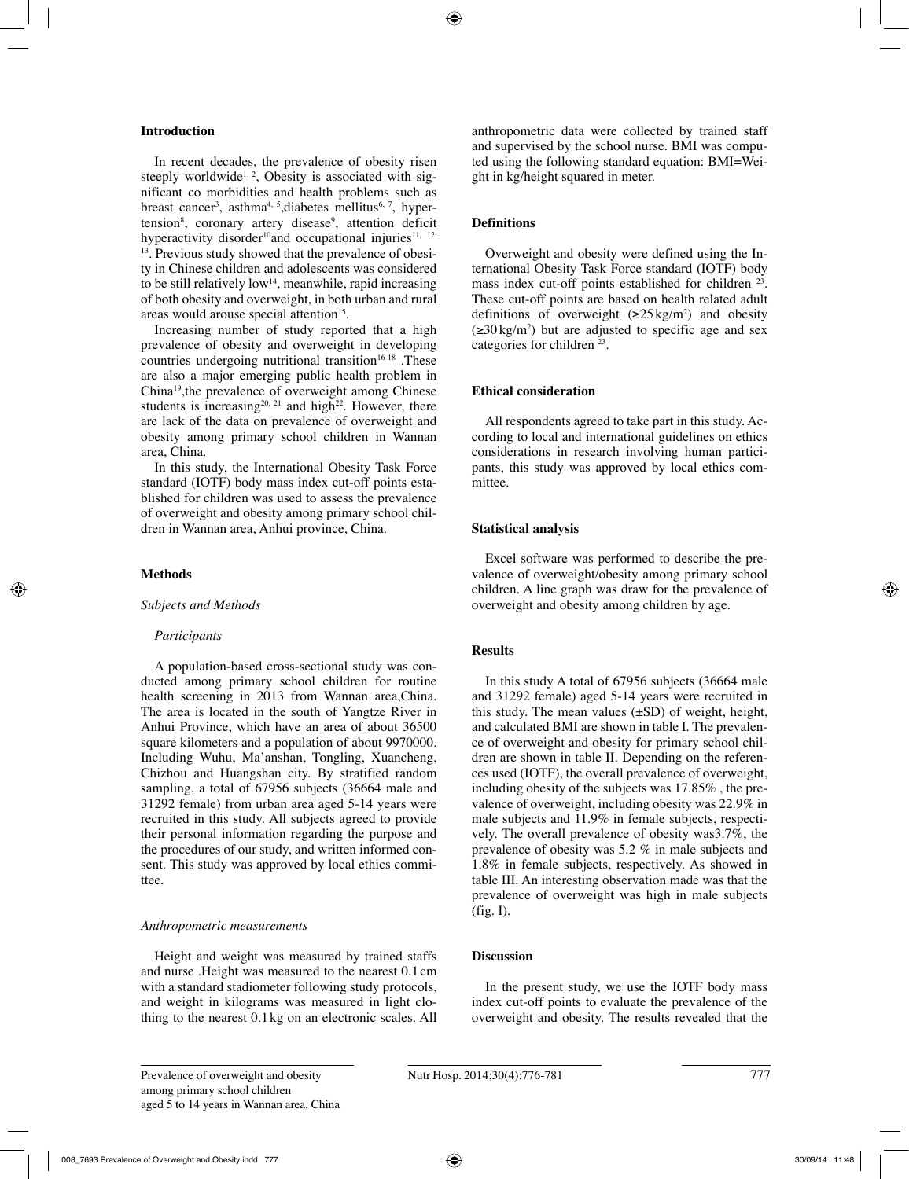# **Introduction**

In recent decades, the prevalence of obesity risen steeply worldwide<sup>1, 2</sup>, Obesity is associated with significant co morbidities and health problems such as breast cancer<sup>3</sup>, asthma<sup>4, 5</sup>, diabetes mellitus<sup>6, 7</sup>, hypertension<sup>8</sup>, coronary artery disease<sup>9</sup>, attention deficit hyperactivity disorder<sup>10</sup>and occupational injuries<sup>11, 12,</sup> 13. Previous study showed that the prevalence of obesity in Chinese children and adolescents was considered to be still relatively low<sup>14</sup>, meanwhile, rapid increasing of both obesity and overweight, in both urban and rural areas would arouse special attention<sup>15</sup>.

Increasing number of study reported that a high prevalence of obesity and overweight in developing countries undergoing nutritional transition<sup>16-18</sup>. These are also a major emerging public health problem in China19,the prevalence of overweight among Chinese students is increasing<sup>20, 21</sup> and high<sup>22</sup>. However, there are lack of the data on prevalence of overweight and obesity among primary school children in Wannan area, China.

In this study, the International Obesity Task Force standard (IOTF) body mass index cut-off points established for children was used to assess the prevalence of overweight and obesity among primary school children in Wannan area, Anhui province, China.

# **Methods**

#### *Subjects and Methods*

# *Participants*

A population-based cross-sectional study was conducted among primary school children for routine health screening in 2013 from Wannan area,China. The area is located in the south of Yangtze River in Anhui Province, which have an area of about 36500 square kilometers and a population of about 9970000. Including Wuhu, Ma'anshan, Tongling, Xuancheng, Chizhou and Huangshan city. By stratified random sampling, a total of 67956 subjects (36664 male and 31292 female) from urban area aged 5-14 years were recruited in this study. All subjects agreed to provide their personal information regarding the purpose and the procedures of our study, and written informed consent. This study was approved by local ethics committee.

# *Anthropometric measurements*

Height and weight was measured by trained staffs and nurse .Height was measured to the nearest 0.1cm with a standard stadiometer following study protocols, and weight in kilograms was measured in light clothing to the nearest 0.1kg on an electronic scales. All anthropometric data were collected by trained staff and supervised by the school nurse. BMI was computed using the following standard equation: BMI=Weight in kg/height squared in meter.

# **Definitions**

Overweight and obesity were defined using the International Obesity Task Force standard (IOTF) body mass index cut-off points established for children <sup>23</sup>. These cut-off points are based on health related adult definitions of overweight  $(\geq 25 \text{ kg/m}^2)$  and obesity  $(\geq 30 \text{ kg/m}^2)$  but are adjusted to specific age and sex categories for children  $23$ .

# **Ethical consideration**

All respondents agreed to take part in this study. According to local and international guidelines on ethics considerations in research involving human participants, this study was approved by local ethics committee.

# **Statistical analysis**

Excel software was performed to describe the prevalence of overweight/obesity among primary school children. A line graph was draw for the prevalence of overweight and obesity among children by age.

# **Results**

In this study A total of 67956 subjects (36664 male and 31292 female) aged 5-14 years were recruited in this study. The mean values  $(\pm SD)$  of weight, height, and calculated BMI are shown in table I. The prevalence of overweight and obesity for primary school children are shown in table II. Depending on the references used (IOTF), the overall prevalence of overweight, including obesity of the subjects was 17.85% , the prevalence of overweight, including obesity was 22.9% in male subjects and 11.9% in female subjects, respectively. The overall prevalence of obesity was3.7%, the prevalence of obesity was 5.2 % in male subjects and 1.8% in female subjects, respectively. As showed in table III. An interesting observation made was that the prevalence of overweight was high in male subjects  $(fig. I)$ .

# **Discussion**

In the present study, we use the IOTF body mass index cut-off points to evaluate the prevalence of the overweight and obesity. The results revealed that the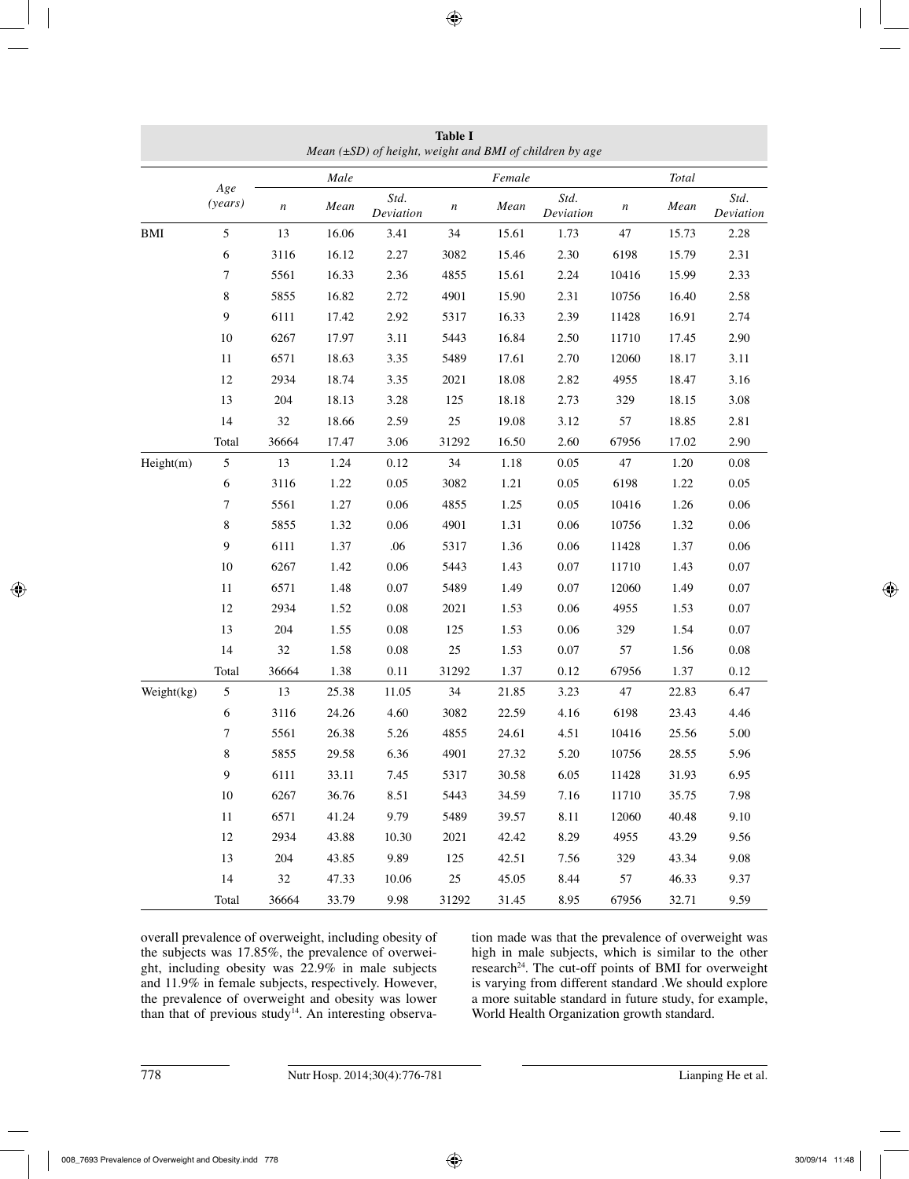|            | Mean $(\pm SD)$ of height, weight and BMI of children by age |                  |       |                   |                  |        |                   |                  |       |                   |
|------------|--------------------------------------------------------------|------------------|-------|-------------------|------------------|--------|-------------------|------------------|-------|-------------------|
|            | Age                                                          |                  | Male  |                   |                  | Female |                   |                  | Total |                   |
|            | (years)                                                      | $\boldsymbol{n}$ | Mean  | Std.<br>Deviation | $\boldsymbol{n}$ | Mean   | Std.<br>Deviation | $\boldsymbol{n}$ | Mean  | Std.<br>Deviation |
| <b>BMI</b> | 5                                                            | 13               | 16.06 | 3.41              | 34               | 15.61  | 1.73              | 47               | 15.73 | 2.28              |
|            | 6                                                            | 3116             | 16.12 | 2.27              | 3082             | 15.46  | 2.30              | 6198             | 15.79 | 2.31              |
|            | 7                                                            | 5561             | 16.33 | 2.36              | 4855             | 15.61  | 2.24              | 10416            | 15.99 | 2.33              |
|            | 8                                                            | 5855             | 16.82 | 2.72              | 4901             | 15.90  | 2.31              | 10756            | 16.40 | 2.58              |
|            | $\mathbf{9}$                                                 | 6111             | 17.42 | 2.92              | 5317             | 16.33  | 2.39              | 11428            | 16.91 | 2.74              |
|            | $10\,$                                                       | 6267             | 17.97 | 3.11              | 5443             | 16.84  | 2.50              | 11710            | 17.45 | 2.90              |
|            | $11\,$                                                       | 6571             | 18.63 | 3.35              | 5489             | 17.61  | 2.70              | 12060            | 18.17 | 3.11              |
|            | 12                                                           | 2934             | 18.74 | 3.35              | 2021             | 18.08  | 2.82              | 4955             | 18.47 | 3.16              |
|            | 13                                                           | 204              | 18.13 | 3.28              | 125              | 18.18  | 2.73              | 329              | 18.15 | 3.08              |
|            | 14                                                           | $32\,$           | 18.66 | 2.59              | 25               | 19.08  | 3.12              | 57               | 18.85 | 2.81              |
|            | Total                                                        | 36664            | 17.47 | 3.06              | 31292            | 16.50  | 2.60              | 67956            | 17.02 | 2.90              |
| Height(m)  | $\mathfrak s$                                                | 13               | 1.24  | 0.12              | 34               | 1.18   | 0.05              | 47               | 1.20  | $0.08\,$          |
|            | $\sqrt{6}$                                                   | 3116             | 1.22  | 0.05              | 3082             | 1.21   | 0.05              | 6198             | 1.22  | 0.05              |
|            | 7                                                            | 5561             | 1.27  | 0.06              | 4855             | 1.25   | 0.05              | 10416            | 1.26  | 0.06              |
|            | $\bf 8$                                                      | 5855             | 1.32  | 0.06              | 4901             | 1.31   | $0.06\,$          | 10756            | 1.32  | $0.06\,$          |
|            | $\mathbf{9}$                                                 | 6111             | 1.37  | .06               | 5317             | 1.36   | 0.06              | 11428            | 1.37  | 0.06              |
|            | $10\,$                                                       | 6267             | 1.42  | 0.06              | 5443             | 1.43   | 0.07              | 11710            | 1.43  | $0.07\,$          |
|            | $11\,$                                                       | 6571             | 1.48  | 0.07              | 5489             | 1.49   | 0.07              | 12060            | 1.49  | $0.07\,$          |
|            | 12                                                           | 2934             | 1.52  | $0.08\,$          | 2021             | 1.53   | 0.06              | 4955             | 1.53  | 0.07              |
|            | 13                                                           | 204              | 1.55  | $0.08\,$          | 125              | 1.53   | 0.06              | 329              | 1.54  | $0.07\,$          |
|            | 14                                                           | 32               | 1.58  | 0.08              | $25\,$           | 1.53   | 0.07              | 57               | 1.56  | $0.08\,$          |
|            | Total                                                        | 36664            | 1.38  | 0.11              | 31292            | 1.37   | 0.12              | 67956            | 1.37  | 0.12              |
| Weight(kg) | $\mathfrak s$                                                | 13               | 25.38 | 11.05             | 34               | 21.85  | 3.23              | 47               | 22.83 | 6.47              |
|            | $\sqrt{6}$                                                   | 3116             | 24.26 | 4.60              | 3082             | 22.59  | 4.16              | 6198             | 23.43 | 4.46              |
|            | 7                                                            | 5561             | 26.38 | 5.26              | 4855             | 24.61  | 4.51              | 10416            | 25.56 | 5.00              |
|            | 8                                                            | 5855             | 29.58 | 6.36              | 4901             | 27.32  | 5.20              | 10756            | 28.55 | 5.96              |
|            | $\boldsymbol{9}$                                             | 6111             | 33.11 | 7.45              | 5317             | 30.58  | 6.05              | 11428            | 31.93 | 6.95              |
|            | 10                                                           | 6267             | 36.76 | 8.51              | 5443             | 34.59  | 7.16              | 11710            | 35.75 | 7.98              |
|            | $11\,$                                                       | 6571             | 41.24 | 9.79              | 5489             | 39.57  | 8.11              | 12060            | 40.48 | 9.10              |
|            | 12                                                           | 2934             | 43.88 | 10.30             | 2021             | 42.42  | 8.29              | 4955             | 43.29 | 9.56              |
|            | 13                                                           | 204              | 43.85 | 9.89              | 125              | 42.51  | 7.56              | 329              | 43.34 | 9.08              |
|            | 14                                                           | 32               | 47.33 | 10.06             | 25               | 45.05  | 8.44              | 57               | 46.33 | 9.37              |
|            | Total                                                        | 36664            | 33.79 | 9.98              | 31292            | 31.45  | 8.95              | 67956            | 32.71 | 9.59              |

**Table I**

overall prevalence of overweight, including obesity of the subjects was 17.85%, the prevalence of overweight, including obesity was 22.9% in male subjects and 11.9% in female subjects, respectively. However, the prevalence of overweight and obesity was lower than that of previous study<sup>14</sup>. An interesting observation made was that the prevalence of overweight was high in male subjects, which is similar to the other research<sup>24</sup>. The cut-off points of BMI for overweight is varying from different standard .We should explore a more suitable standard in future study, for example, World Health Organization growth standard.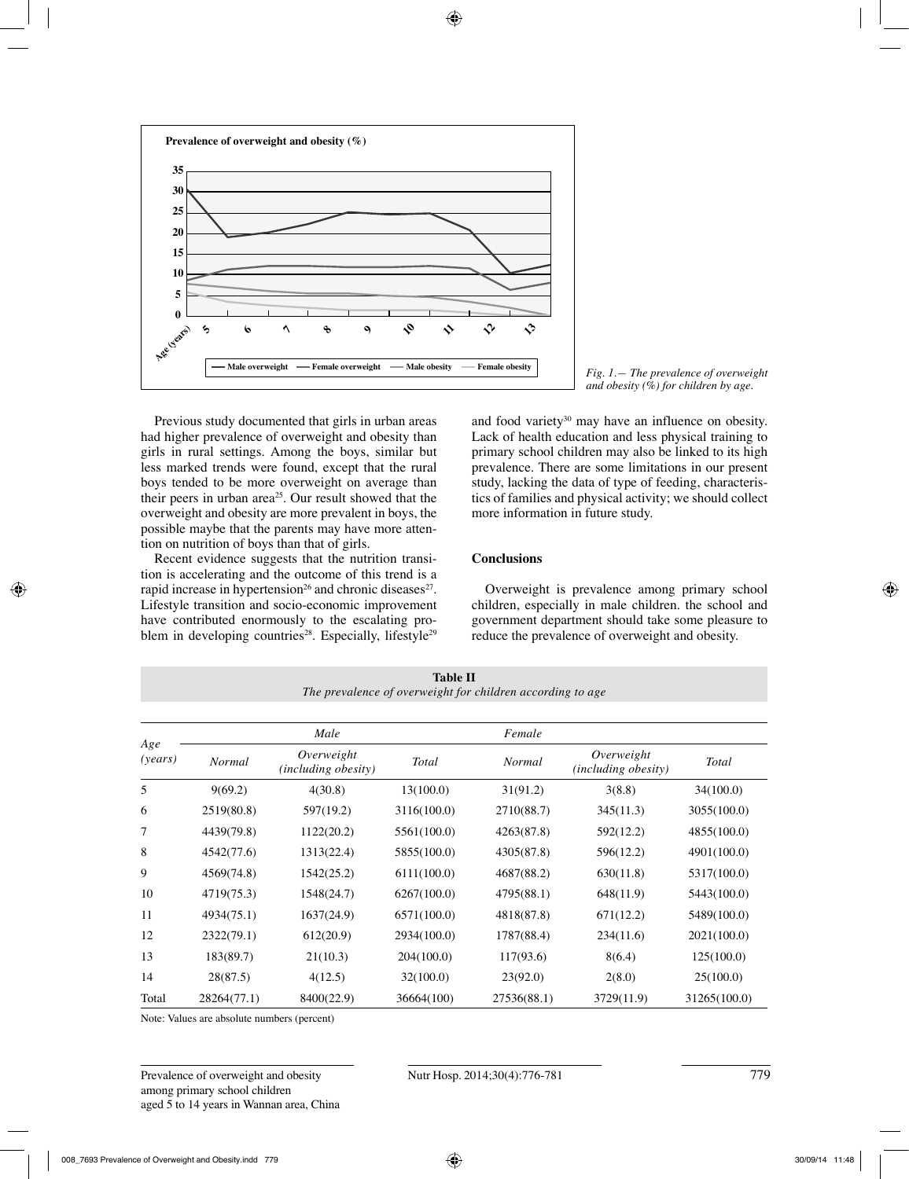



Previous study documented that girls in urban areas had higher prevalence of overweight and obesity than girls in rural settings. Among the boys, similar but less marked trends were found, except that the rural boys tended to be more overweight on average than their peers in urban area<sup>25</sup>. Our result showed that the overweight and obesity are more prevalent in boys, the possible maybe that the parents may have more attention on nutrition of boys than that of girls.

Recent evidence suggests that the nutrition transition is accelerating and the outcome of this trend is a rapid increase in hypertension<sup>26</sup> and chronic diseases<sup>27</sup>. Lifestyle transition and socio-economic improvement have contributed enormously to the escalating problem in developing countries<sup>28</sup>. Especially, lifestyle<sup>29</sup> and food variety<sup>30</sup> may have an influence on obesity. Lack of health education and less physical training to primary school children may also be linked to its high prevalence. There are some limitations in our present study, lacking the data of type of feeding, characteristics of families and physical activity; we should collect more information in future study.

# **Conclusions**

Overweight is prevalence among primary school children, especially in male children. the school and government department should take some pleasure to reduce the prevalence of overweight and obesity.

| Age<br>(years) |               | Male                                     |             | Female      |                                   |              |  |
|----------------|---------------|------------------------------------------|-------------|-------------|-----------------------------------|--------------|--|
|                | <b>Normal</b> | Overweight<br><i>(including obesity)</i> | Total       | Normal      | Overweight<br>(including obesity) | Total        |  |
| 5              | 9(69.2)       | 4(30.8)                                  | 13(100.0)   | 31(91.2)    | 3(8.8)                            | 34(100.0)    |  |
| 6              | 2519(80.8)    | 597(19.2)                                | 3116(100.0) | 2710(88.7)  | 345(11.3)                         | 3055(100.0)  |  |
| 7              | 4439(79.8)    | 1122(20.2)                               | 5561(100.0) | 4263(87.8)  | 592(12.2)                         | 4855(100.0)  |  |
| 8              | 4542(77.6)    | 1313(22.4)                               | 5855(100.0) | 4305(87.8)  | 596(12.2)                         | 4901(100.0)  |  |
| 9              | 4569(74.8)    | 1542(25.2)                               | 6111(100.0) | 4687(88.2)  | 630(11.8)                         | 5317(100.0)  |  |
| 10             | 4719(75.3)    | 1548(24.7)                               | 6267(100.0) | 4795(88.1)  | 648(11.9)                         | 5443(100.0)  |  |
| 11             | 4934(75.1)    | 1637(24.9)                               | 6571(100.0) | 4818(87.8)  | 671(12.2)                         | 5489(100.0)  |  |
| 12             | 2322(79.1)    | 612(20.9)                                | 2934(100.0) | 1787(88.4)  | 234(11.6)                         | 2021(100.0)  |  |
| 13             | 183(89.7)     | 21(10.3)                                 | 204(100.0)  | 117(93.6)   | 8(6.4)                            | 125(100.0)   |  |
| 14             | 28(87.5)      | 4(12.5)                                  | 32(100.0)   | 23(92.0)    | 2(8.0)                            | 25(100.0)    |  |
| Total          | 28264(77.1)   | 8400(22.9)                               | 36664(100)  | 27536(88.1) | 3729(11.9)                        | 31265(100.0) |  |

**Table II** *The prevalence of overweight for children according to age*

Note: Values are absolute numbers (percent)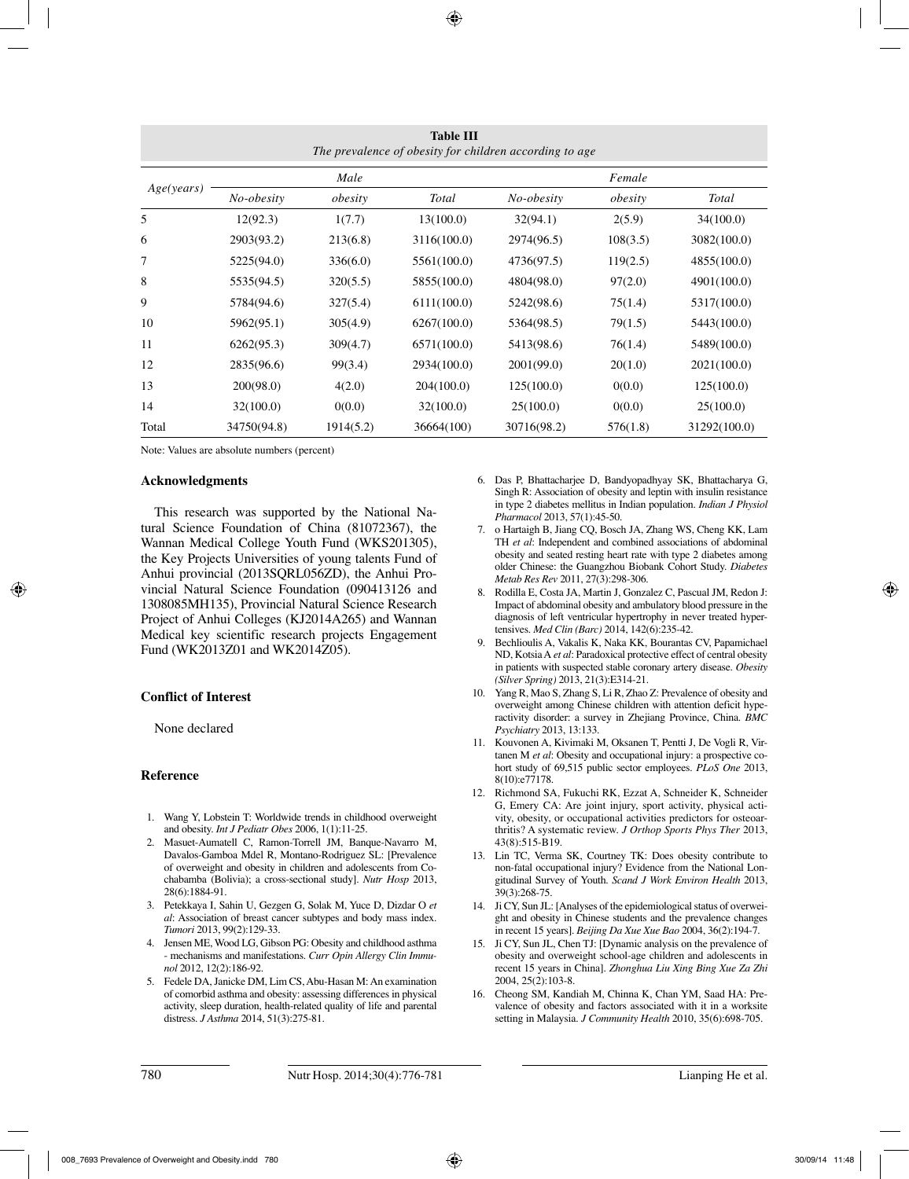| <b>Table III</b><br>The prevalence of obesity for children according to age |             |           |              |             |          |              |  |
|-----------------------------------------------------------------------------|-------------|-----------|--------------|-------------|----------|--------------|--|
| Age(years)                                                                  |             | Male      |              | Female      |          |              |  |
|                                                                             | No-obesity  | obesity   | <b>Total</b> | No-obesity  | obesity  | Total        |  |
| 5                                                                           | 12(92.3)    | 1(7.7)    | 13(100.0)    | 32(94.1)    | 2(5.9)   | 34(100.0)    |  |
| 6                                                                           | 2903(93.2)  | 213(6.8)  | 3116(100.0)  | 2974(96.5)  | 108(3.5) | 3082(100.0)  |  |
| 7                                                                           | 5225(94.0)  | 336(6.0)  | 5561(100.0)  | 4736(97.5)  | 119(2.5) | 4855(100.0)  |  |
| 8                                                                           | 5535(94.5)  | 320(5.5)  | 5855(100.0)  | 4804(98.0)  | 97(2.0)  | 4901(100.0)  |  |
| 9                                                                           | 5784(94.6)  | 327(5.4)  | 6111(100.0)  | 5242(98.6)  | 75(1.4)  | 5317(100.0)  |  |
| 10                                                                          | 5962(95.1)  | 305(4.9)  | 6267(100.0)  | 5364(98.5)  | 79(1.5)  | 5443(100.0)  |  |
| 11                                                                          | 6262(95.3)  | 309(4.7)  | 6571(100.0)  | 5413(98.6)  | 76(1.4)  | 5489(100.0)  |  |
| 12                                                                          | 2835(96.6)  | 99(3.4)   | 2934(100.0)  | 2001(99.0)  | 20(1.0)  | 2021(100.0)  |  |
| 13                                                                          | 200(98.0)   | 4(2.0)    | 204(100.0)   | 125(100.0)  | 0(0.0)   | 125(100.0)   |  |
| 14                                                                          | 32(100.0)   | 0(0.0)    | 32(100.0)    | 25(100.0)   | 0(0.0)   | 25(100.0)    |  |
| Total                                                                       | 34750(94.8) | 1914(5.2) | 36664(100)   | 30716(98.2) | 576(1.8) | 31292(100.0) |  |

Note: Values are absolute numbers (percent)

#### **Acknowledgments**

This research was supported by the National Natural Science Foundation of China (81072367), the Wannan Medical College Youth Fund (WKS201305), the Key Projects Universities of young talents Fund of Anhui provincial (2013SQRL056ZD), the Anhui Provincial Natural Science Foundation (090413126 and 1308085MH135), Provincial Natural Science Research Project of Anhui Colleges (KJ2014A265) and Wannan Medical key scientific research projects Engagement Fund (WK2013Z01 and WK2014Z05).

# **Conflict of Interest**

None declared

# **Reference**

- 1. Wang Y, Lobstein T: Worldwide trends in childhood overweight and obesity. *Int J Pediatr Obes* 2006, 1(1):11-25.
- 2. Masuet-Aumatell C, Ramon-Torrell JM, Banque-Navarro M, Davalos-Gamboa Mdel R, Montano-Rodriguez SL: [Prevalence of overweight and obesity in children and adolescents from Cochabamba (Bolivia); a cross-sectional study]. *Nutr Hosp* 2013, 28(6):1884-91.
- 3. Petekkaya I, Sahin U, Gezgen G, Solak M, Yuce D, Dizdar O *et al*: Association of breast cancer subtypes and body mass index. *Tumori* 2013, 99(2):129-33.
- 4. Jensen ME, Wood LG, Gibson PG: Obesity and childhood asthma - mechanisms and manifestations. *Curr Opin Allergy Clin Immunol* 2012, 12(2):186-92.
- 5. Fedele DA, Janicke DM, Lim CS, Abu-Hasan M: An examination of comorbid asthma and obesity: assessing differences in physical activity, sleep duration, health-related quality of life and parental distress. *J Asthma* 2014, 51(3):275-81.
- 6. Das P, Bhattacharjee D, Bandyopadhyay SK, Bhattacharya G, Singh R: Association of obesity and leptin with insulin resistance in type 2 diabetes mellitus in Indian population. *Indian J Physiol Pharmacol* 2013, 57(1):45-50.
- 7. o Hartaigh B, Jiang CQ, Bosch JA, Zhang WS, Cheng KK, Lam TH *et al*: Independent and combined associations of abdominal obesity and seated resting heart rate with type 2 diabetes among older Chinese: the Guangzhou Biobank Cohort Study. *Diabetes Metab Res Rev* 2011, 27(3):298-306.
- 8. Rodilla E, Costa JA, Martin J, Gonzalez C, Pascual JM, Redon J: Impact of abdominal obesity and ambulatory blood pressure in the diagnosis of left ventricular hypertrophy in never treated hypertensives. *Med Clin (Barc)* 2014, 142(6):235-42.
- 9. Bechlioulis A, Vakalis K, Naka KK, Bourantas CV, Papamichael ND, Kotsia A *et al*: Paradoxical protective effect of central obesity in patients with suspected stable coronary artery disease. *Obesity (Silver Spring)* 2013, 21(3):E314-21.
- 10. Yang R, Mao S, Zhang S, Li R, Zhao Z: Prevalence of obesity and overweight among Chinese children with attention deficit hyperactivity disorder: a survey in Zhejiang Province, China. *BMC Psychiatry* 2013, 13:133.
- 11. Kouvonen A, Kivimaki M, Oksanen T, Pentti J, De Vogli R, Virtanen M *et al*: Obesity and occupational injury: a prospective cohort study of 69,515 public sector employees. *PLoS One* 2013, 8(10):e77178.
- 12. Richmond SA, Fukuchi RK, Ezzat A, Schneider K, Schneider G, Emery CA: Are joint injury, sport activity, physical activity, obesity, or occupational activities predictors for osteoarthritis? A systematic review. *J Orthop Sports Phys Ther* 2013, 43(8):515-B19.
- 13. Lin TC, Verma SK, Courtney TK: Does obesity contribute to non-fatal occupational injury? Evidence from the National Longitudinal Survey of Youth. *Scand J Work Environ Health* 2013, 39(3):268-75.
- 14. Ji CY, Sun JL: [Analyses of the epidemiological status of overweight and obesity in Chinese students and the prevalence changes in recent 15 years]. *Beijing Da Xue Xue Bao* 2004, 36(2):194-7.
- 15. Ji CY, Sun JL, Chen TJ: [Dynamic analysis on the prevalence of obesity and overweight school-age children and adolescents in recent 15 years in China]. *Zhonghua Liu Xing Bing Xue Za Zhi*  2004, 25(2):103-8.
- 16. Cheong SM, Kandiah M, Chinna K, Chan YM, Saad HA: Prevalence of obesity and factors associated with it in a worksite setting in Malaysia. *J Community Health* 2010, 35(6):698-705.